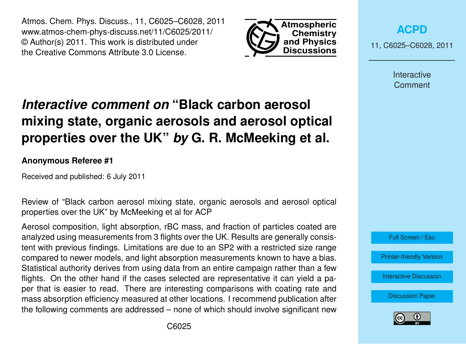Atmos. Chem. Phys. Discuss., 11, C6025–C6028, 2011 www.atmos-chem-phys-discuss.net/11/C6025/2011/ © Author(s) 2011. This work is distributed under the Creative Commons Attribute 3.0 License.



**[ACPD](http://www.atmos-chem-phys-discuss.net)**

11, C6025–C6028, 2011

Interactive **Comment** 

## *Interactive comment on* **"Black carbon aerosol mixing state, organic aerosols and aerosol optical properties over the UK"** *by* **G. R. McMeeking et al.**

## **Anonymous Referee #1**

Received and published: 6 July 2011

Review of "Black carbon aerosol mixing state, organic aerosols and aerosol optical properties over the UK" by McMeeking et al for ACP

Aerosol composition, light absorption, rBC mass, and fraction of particles coated are analyzed using measurements from 3 flights over the UK. Results are generally consistent with previous findings. Limitations are due to an SP2 with a restricted size range compared to newer models, and light absorption measurements known to have a bias. Statistical authority derives from using data from an entire campaign rather than a few flights. On the other hand if the cases selected are representative it can yield a paper that is easier to read. There are interesting comparisons with coating rate and mass absorption efficiency measured at other locations. I recommend publication after the following comments are addressed – none of which should involve significant new



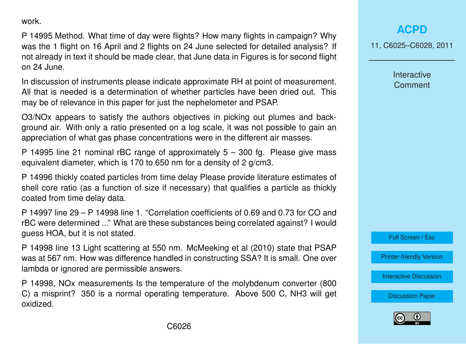work.

P 14995 Method. What time of day were flights? How many flights in campaign? Why was the 1 flight on 16 April and 2 flights on 24 June selected for detailed analysis? If not already in text it should be made clear, that June data in Figures is for second flight on 24 June.

In discussion of instruments please indicate approximate RH at point of measurement. All that is needed is a determination of whether particles have been dried out. This may be of relevance in this paper for just the nephelometer and PSAP.

O3/NOx appears to satisfy the authors objectives in picking out plumes and background air. With only a ratio presented on a log scale, it was not possible to gain an appreciation of what gas phase concentrations were in the different air masses.

P 14995 line 21 nominal rBC range of approximately 5 – 300 fg. Please give mass equivalent diameter, which is 170 to 650 nm for a density of 2 g/cm3.

P 14996 thickly coated particles from time delay Please provide literature estimates of shell core ratio (as a function of size if necessary) that qualifies a particle as thickly coated from time delay data.

P 14997 line 29 – P 14998 line 1. "Correlation coefficients of 0.69 and 0.73 for CO and rBC were determined ..." What are these substances being correlated against? I would guess HOA, but it is not stated.

P 14998 line 13 Light scattering at 550 nm. McMeeking et al (2010) state that PSAP was at 567 nm. How was difference handled in constructing SSA? It is small. One over lambda or ignored are permissible answers.

P 14998, NOx measurements Is the temperature of the molybdenum converter (800 C) a misprint? 350 is a normal operating temperature. Above 500 C, NH3 will get oxidized.

## **[ACPD](http://www.atmos-chem-phys-discuss.net)**

11, C6025–C6028, 2011

**Interactive Comment** 



[Printer-friendly Version](http://www.atmos-chem-phys-discuss.net/11/C6025/2011/acpd-11-C6025-2011-print.pdf)

[Interactive Discussion](http://www.atmos-chem-phys-discuss.net/11/14991/2011/acpd-11-14991-2011-discussion.html)

[Discussion Paper](http://www.atmos-chem-phys-discuss.net/11/14991/2011/acpd-11-14991-2011.pdf)

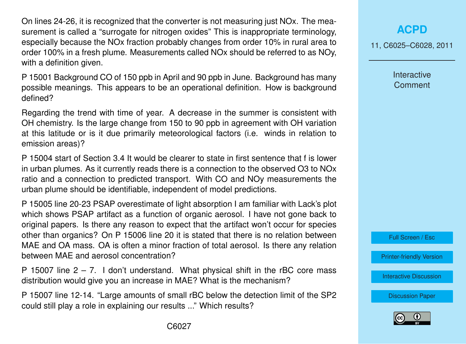On lines 24-26, it is recognized that the converter is not measuring just NOx. The measurement is called a "surrogate for nitrogen oxides" This is inappropriate terminology, especially because the NOx fraction probably changes from order 10% in rural area to order 100% in a fresh plume. Measurements called NOx should be referred to as NOy, with a definition given.

P 15001 Background CO of 150 ppb in April and 90 ppb in June. Background has many possible meanings. This appears to be an operational definition. How is background defined?

Regarding the trend with time of year. A decrease in the summer is consistent with OH chemistry. Is the large change from 150 to 90 ppb in agreement with OH variation at this latitude or is it due primarily meteorological factors (i.e. winds in relation to emission areas)?

P 15004 start of Section 3.4 It would be clearer to state in first sentence that f is lower in urban plumes. As it currently reads there is a connection to the observed O3 to NOx ratio and a connection to predicted transport. With CO and NOy measurements the urban plume should be identifiable, independent of model predictions.

P 15005 line 20-23 PSAP overestimate of light absorption I am familiar with Lack's plot which shows PSAP artifact as a function of organic aerosol. I have not gone back to original papers. Is there any reason to expect that the artifact won't occur for species other than organics? On P 15006 line 20 it is stated that there is no relation between MAE and OA mass. OA is often a minor fraction of total aerosol. Is there any relation between MAE and aerosol concentration?

P 15007 line  $2 - 7$ . I don't understand. What physical shift in the rBC core mass distribution would give you an increase in MAE? What is the mechanism?

P 15007 line 12-14. "Large amounts of small rBC below the detection limit of the SP2 could still play a role in explaining our results ..." Which results?

11, C6025–C6028, 2011

**Interactive Comment** 



[Printer-friendly Version](http://www.atmos-chem-phys-discuss.net/11/C6025/2011/acpd-11-C6025-2011-print.pdf)

[Interactive Discussion](http://www.atmos-chem-phys-discuss.net/11/14991/2011/acpd-11-14991-2011-discussion.html)

[Discussion Paper](http://www.atmos-chem-phys-discuss.net/11/14991/2011/acpd-11-14991-2011.pdf)